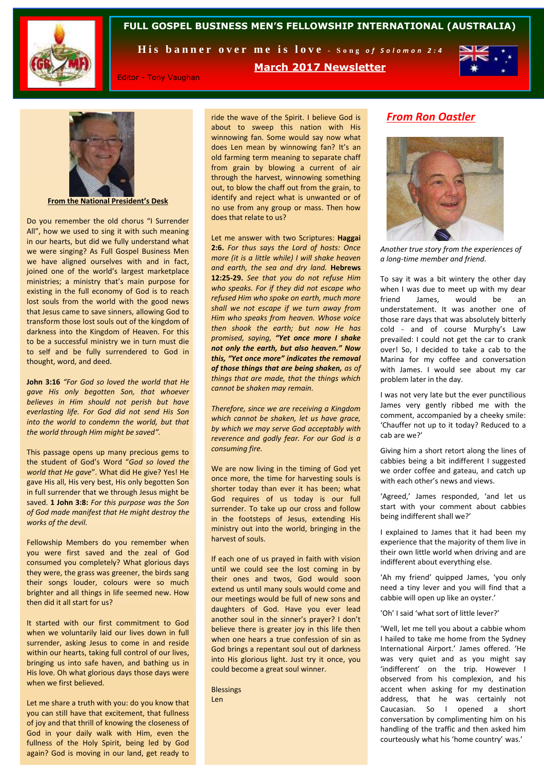

### **FULL GOSPEL BUSINESS MEN'S FELLOWSHIP INTERNATIONAL (AUSTRALIA)**

His banner over me is love - Song of Solomon 2:4

**March 2017 Newsletter**



Editor - Tony Vaughan

**From the National President's Desk**

Do you remember the old chorus "I Surrender All", how we used to sing it with such meaning in our hearts, but did we fully understand what we were singing? As Full Gospel Business Men we have aligned ourselves with and in fact, joined one of the world's largest marketplace ministries; a ministry that's main purpose for existing in the full economy of God is to reach lost souls from the world with the good news that Jesus came to save sinners, allowing God to transform those lost souls out of the kingdom of darkness into the Kingdom of Heaven. For this to be a successful ministry we in turn must die to self and be fully surrendered to God in thought, word, and deed.

**John 3:16** *"For God so loved the world that He gave His only begotten Son, that whoever believes in Him should not perish but have everlasting life. For God did not send His Son into the world to condemn the world, but that the world through Him might be saved".* 

This passage opens up many precious gems to the student of God's Word "*God so loved the world that He gave*". What did He give? Yes! He gave His all, His very best, His only begotten Son in full surrender that we through Jesus might be saved. **1 John 3:8:** *For this purpose was the Son of God made manifest that He might destroy the works of the devil.*

Fellowship Members do you remember when you were first saved and the zeal of God consumed you completely? What glorious days they were, the grass was greener, the birds sang their songs louder, colours were so much brighter and all things in life seemed new. How then did it all start for us?

It started with our first commitment to God when we voluntarily laid our lives down in full surrender, asking Jesus to come in and reside within our hearts, taking full control of our lives, bringing us into safe haven, and bathing us in His love. Oh what glorious days those days were when we first believed.

Let me share a truth with you: do you know that you can still have that excitement, that fullness of joy and that thrill of knowing the closeness of God in your daily walk with Him, even the fullness of the Holy Spirit, being led by God again? God is moving in our land, get ready to

ride the wave of the Spirit. I believe God is about to sweep this nation with His winnowing fan. Some would say now what does Len mean by winnowing fan? It's an old farming term meaning to separate chaff from grain by blowing a current of air through the harvest, winnowing something out, to blow the chaff out from the grain, to identify and reject what is unwanted or of no use from any group or mass. Then how does that relate to us?

Let me answer with two Scriptures: **Haggai 2:6.** *For thus says the Lord of hosts: Once more (it is a little while) I will shake heaven and earth, the sea and dry land.* **Hebrews 12:25-29.** *See that you do not refuse Him who speaks. For if they did not escape who refused Him who spoke on earth, much more shall we not escape if we turn away from Him who speaks from heaven. Whose voice then shook the earth; but now He has promised, saying, "Yet once more I shake not only the earth, but also heaven." Now this, "Yet once more" indicates the removal of those things that are being shaken, as of things that are made, that the things which cannot be shaken may remain.* 

*Therefore, since we are receiving a Kingdom which cannot be shaken, let us have grace, by which we may serve God acceptably with reverence and godly fear. For our God is a consuming fire.*

We are now living in the timing of God yet once more, the time for harvesting souls is shorter today than ever it has been; what God requires of us today is our full surrender. To take up our cross and follow in the footsteps of Jesus, extending His ministry out into the world, bringing in the harvest of souls.

If each one of us prayed in faith with vision until we could see the lost coming in by their ones and twos, God would soon extend us until many souls would come and our meetings would be full of new sons and daughters of God. Have you ever lead another soul in the sinner's prayer? I don't believe there is greater joy in this life then when one hears a true confession of sin as God brings a repentant soul out of darkness into His glorious light. Just try it once, you could become a great soul winner.

**Blessings** Len

## *From Ron Oastler*



*Another true story from the experiences of a long-time member and friend.* 

To say it was a bit wintery the other day when I was due to meet up with my dear friend James, would be an understatement. It was another one of those rare days that was absolutely bitterly cold - and of course Murphy's Law prevailed: I could not get the car to crank over! So, I decided to take a cab to the Marina for my coffee and conversation with James. I would see about my car problem later in the day.

I was not very late but the ever punctilious James very gently ribbed me with the comment, accompanied by a cheeky smile: 'Chauffer not up to it today? Reduced to a cab are we?'

Giving him a short retort along the lines of cabbies being a bit indifferent I suggested we order coffee and gateau, and catch up with each other's news and views.

'Agreed,' James responded, 'and let us start with your comment about cabbies being indifferent shall we?'

I explained to James that it had been my experience that the majority of them live in their own little world when driving and are indifferent about everything else.

'Ah my friend' quipped James, 'you only need a tiny lever and you will find that a cabbie will open up like an oyster.'

'Oh' I said 'what sort of little lever?'

'Well, let me tell you about a cabbie whom I hailed to take me home from the Sydney International Airport.' James offered. 'He was very quiet and as you might say 'indifferent' on the trip. However I observed from his complexion, and his accent when asking for my destination address, that he was certainly not Caucasian. So I opened a short conversation by complimenting him on his handling of the traffic and then asked him courteously what his 'home country' was.'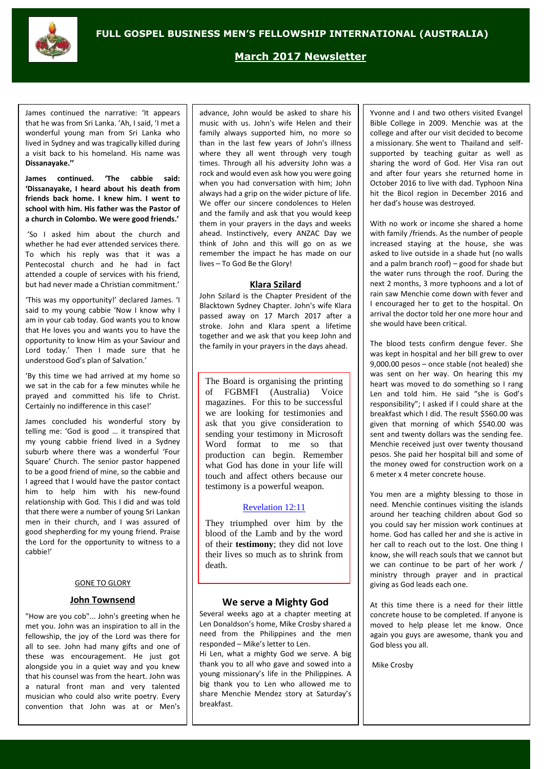

**March 2017 Newsletter**

James continued the narrative: 'It appears that he was from Sri Lanka. 'Ah, I said, 'I met a wonderful young man from Sri Lanka who lived in Sydney and was tragically killed during a visit back to his homeland. His name was **Dissanayake.''**

**James continued. 'The cabbie said: 'Dissanayake, I heard about his death from friends back home. I knew him. I went to school with him. His father was the Pastor of a church in Colombo. We were good friends.'**

'So I asked him about the church and whether he had ever attended services there. To which his reply was that it was a Pentecostal church and he had in fact attended a couple of services with his friend, but had never made a Christian commitment.'

'This was my opportunity!' declared James. 'I said to my young cabbie 'Now I know why I am in your cab today. God wants you to know that He loves you and wants you to have the opportunity to know Him as your Saviour and Lord today.' Then I made sure that he understood God's plan of Salvation.'

'By this time we had arrived at my home so we sat in the cab for a few minutes while he prayed and committed his life to Christ. Certainly no indifference in this case!'

James concluded his wonderful story by telling me: 'God is good … it transpired that my young cabbie friend lived in a Sydney suburb where there was a wonderful 'Four Square' Church. The senior pastor happened to be a good friend of mine, so the cabbie and I agreed that I would have the pastor contact him to help him with his new-found relationship with God. This I did and was told that there were a number of young Sri Lankan men in their church, and I was assured of good shepherding for my young friend. Praise the Lord for the opportunity to witness to a cabbie!'

#### GONE TO GLORY

## **John Townsend**

"How are you cob"... John's greeting when he met you. John was an inspiration to all in the fellowship, the joy of the Lord was there for all to see. John had many gifts and one of these was encouragement. He just got alongside you in a quiet way and you knew that his counsel was from the heart. John was a natural front man and very talented musician who could also write poetry. Every convention that John was at or Men's

advance, John would be asked to share his music with us. John's wife Helen and their family always supported him, no more so than in the last few years of John's illness where they all went through very tough times. Through all his adversity John was a rock and would even ask how you were going when you had conversation with him; John always had a grip on the wider picture of life. We offer our sincere condolences to Helen and the family and ask that you would keep them in your prayers in the days and weeks ahead. Instinctively, every ANZAC Day we think of John and this will go on as we remember the impact he has made on our lives – To God Be the Glory!

#### **Klara Szilard**

John Szilard is the Chapter President of the Blacktown Sydney Chapter. John's wife Klara passed away on 17 March 2017 after a stroke. John and Klara spent a lifetime together and we ask that you keep John and the family in your prayers in the days ahead.

The Board is organising the printing of FGBMFI (Australia) Voice magazines. For this to be successful we are looking for testimonies and ask that you give consideration to sending your testimony in Microsoft Word format to me so that production can begin. Remember what God has done in your life will touch and affect others because our testimony is a powerful weapon.

#### [Revelation 12:11](https://www.biblegateway.com/passage/?search=Revelation+12%3A11&version=NIV)

They triumphed over him by the blood of the Lamb and by the word of their **testimony**; they did not love their lives so much as to shrink from death.

#### **We serve a Mighty God**

Several weeks ago at a chapter meeting at Len Donaldson's home, Mike Crosby shared a need from the Philippines and the men responded – Mike's letter to Len.

Hi Len, what a mighty God we serve. A big thank you to all who gave and sowed into a young missionary's life in the Philippines. A big thank you to Len who allowed me to share Menchie Mendez story at Saturday's breakfast.

Yvonne and I and two others visited Evangel Bible College in 2009. Menchie was at the college and after our visit decided to become a missionary. She went to Thailand and selfsupported by teaching guitar as well as sharing the word of God. Her Visa ran out and after four years she returned home in October 2016 to live with dad. Typhoon Nina hit the Bicol region in December 2016 and her dad's house was destroyed.

With no work or income she shared a home with family /friends. As the number of people increased staying at the house, she was asked to live outside in a shade hut (no walls and a palm branch roof) – good for shade but the water runs through the roof. During the next 2 months, 3 more typhoons and a lot of rain saw Menchie come down with fever and I encouraged her to get to the hospital. On arrival the doctor told her one more hour and she would have been critical.

The blood tests confirm dengue fever. She was kept in hospital and her bill grew to over 9,000.00 pesos – once stable (not healed) she was sent on her way. On hearing this my heart was moved to do something so I rang Len and told him. He said "she is God's responsibility"; I asked if I could share at the breakfast which I did. The result \$560.00 was given that morning of which \$540.00 was sent and twenty dollars was the sending fee. Menchie received just over twenty thousand pesos. She paid her hospital bill and some of the money owed for construction work on a 6 meter x 4 meter concrete house.

You men are a mighty blessing to those in need. Menchie continues visiting the islands around her teaching children about God so you could say her mission work continues at home. God has called her and she is active in her call to reach out to the lost. One thing I know, she will reach souls that we cannot but we can continue to be part of her work / ministry through prayer and in practical giving as God leads each one.

At this time there is a need for their little concrete house to be completed. If anyone is moved to help please let me know. Once again you guys are awesome, thank you and God bless you all.

Mike Crosby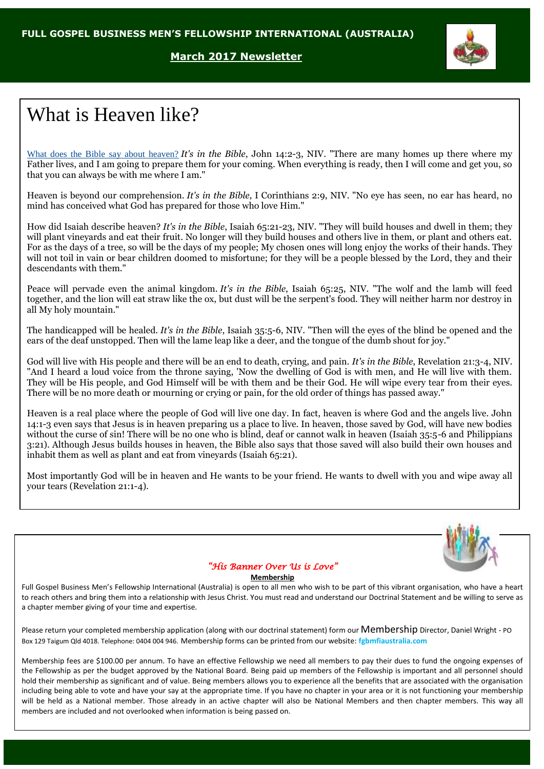## **March 2017 Newsletter**



# What is Heaven like?

What does the Bible say about [heaven?](http://www.bibleinfo.com/en/questions/where-is-heaven) *It's in the Bible*, John 14:2-3, NIV. "There are many homes up there where my Father lives, and I am going to prepare them for your coming. When everything is ready, then I will come and get you, so that you can always be with me where I am."

Heaven is beyond our comprehension. *It's in the Bible*, I Corinthians 2:9, NIV. "No eye has seen, no ear has heard, no mind has conceived what God has prepared for those who love Him."

How did Isaiah describe heaven? *It's in the Bible*, Isaiah 65:21-23, NIV. "They will build houses and dwell in them; they will plant vineyards and eat their fruit. No longer will they build houses and others live in them, or plant and others eat. For as the days of a tree, so will be the days of my people; My chosen ones will long enjoy the works of their hands. They will not toil in vain or bear children doomed to misfortune; for they will be a people blessed by the Lord, they and their descendants with them."

Peace will pervade even the animal kingdom. *It's in the Bible*, Isaiah 65:25, NIV. "The wolf and the lamb will feed together, and the lion will eat straw like the ox, but dust will be the serpent's food. They will neither harm nor destroy in all My holy mountain."

The handicapped will be healed. *It's in the Bible*, Isaiah 35:5-6, NIV. "Then will the eyes of the blind be opened and the ears of the deaf unstopped. Then will the lame leap like a deer, and the tongue of the dumb shout for joy."

God will live with His people and there will be an end to death, crying, and pain. *It's in the Bible*, Revelation 21:3-4, NIV. "And I heard a loud voice from the throne saying, 'Now the dwelling of God is with men, and He will live with them. They will be His people, and God Himself will be with them and be their God. He will wipe every tear from their eyes. There will be no more death or mourning or crying or pain, for the old order of things has passed away."

Heaven is a real place where the people of God will live one day. In fact, heaven is where God and the angels live. John 14:1-3 even says that Jesus is in heaven preparing us a place to live. In heaven, those saved by God, will have new bodies without the curse of sin! There will be no one who is blind, deaf or cannot walk in heaven (Isaiah 35:5-6 and Philippians 3:21). Although Jesus builds houses in heaven, the Bible also says that those saved will also build their own houses and inhabit them as well as plant and eat from vineyards (Isaiah 65:21).

Most importantly God will be in heaven and He wants to be your friend. He wants to dwell with you and wipe away all your tears (Revelation 21:1-4).



## *"His Banner Over Us is Love"*

#### **Membership**

Full Gospel Business Men's Fellowship International (Australia) is open to all men who wish to be part of this vibrant organisation, who have a heart to reach others and bring them into a relationship with Jesus Christ. You must read and understand our Doctrinal Statement and be willing to serve as a chapter member giving of your time and expertise.

Please return your completed membership application (along with our doctrinal statement) form our Membership Director, Daniel Wright - PO Box 129 Taigum Qld 4018. Telephone: 0404 004 946. Membership forms can be printed from our website: **fgbmfiaustralia.com**

Membership fees are \$100.00 per annum. To have an effective Fellowship we need all members to pay their dues to fund the ongoing expenses of the Fellowship as per the budget approved by the National Board. Being paid up members of the Fellowship is important and all personnel should hold their membership as significant and of value. Being members allows you to experience all the benefits that are associated with the organisation including being able to vote and have your say at the appropriate time. If you have no chapter in your area or it is not functioning your membership will be held as a National member. Those already in an active chapter will also be National Members and then chapter members. This way all members are included and not overlooked when information is being passed on.